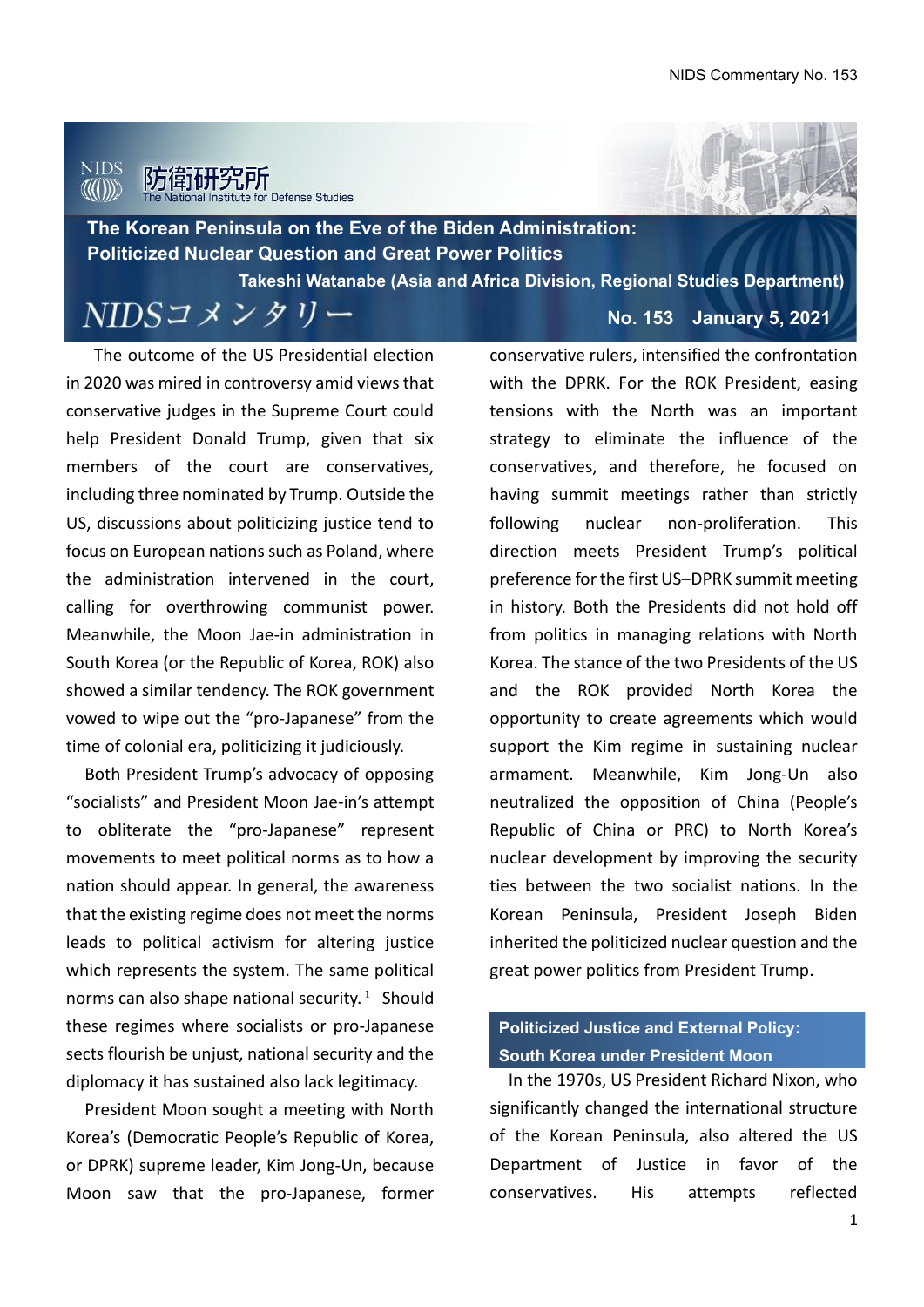## NIDS 探所

**The Korean Peninsula on the Eve of the Biden Administration: Politicized Nuclear Question and Great Power Politics**

**Takeshi Watanabe (Asia and Africa Division, Regional Studies Department)**

NIDSコメンタリー

The outcome of the US Presidential election in 2020 was mired in controversy amid views that conservative judges in the Supreme Court could help President Donald Trump, given that six members of the court are conservatives, including three nominated by Trump. Outside the US, discussions about politicizing justice tend to focus on European nations such as Poland, where the administration intervened in the court, calling for overthrowing communist power. Meanwhile, the Moon Jae-in administration in South Korea (or the Republic of Korea, ROK) also showed a similar tendency. The ROK government vowed to wipe out the "pro-Japanese" from the time of colonial era, politicizing it judiciously.

Both President Trump's advocacy of opposing "socialists" and President Moon Jae-in's attempt to obliterate the "pro-Japanese" represent movements to meet political norms as to how a nation should appear. In general, the awareness that the existing regime does not meet the norms leads to political activism for altering justice which represents the system. The same political norms can also shape national security.<sup>1</sup> Should these regimes where socialists or pro-Japanese sects flourish be unjust, national security and the diplomacy it has sustained also lack legitimacy.

President Moon sought a meeting with North Korea's (Democratic People's Republic of Korea, or DPRK) supreme leader, Kim Jong-Un, because Moon saw that the pro-Japanese, former

**No. 153 January 5, 2021**

conservative rulers, intensified the confrontation with the DPRK. For the ROK President, easing tensions with the North was an important strategy to eliminate the influence of the conservatives, and therefore, he focused on having summit meetings rather than strictly following nuclear non-proliferation. This direction meets President Trump's political preference for the first US–DPRK summit meeting in history. Both the Presidents did not hold off from politics in managing relations with North Korea. The stance of the two Presidents of the US and the ROK provided North Korea the opportunity to create agreements which would support the Kim regime in sustaining nuclear armament. Meanwhile, Kim Jong-Un also neutralized the opposition of China (People's Republic of China or PRC) to North Korea's nuclear development by improving the security ties between the two socialist nations. In the Korean Peninsula, President Joseph Biden inherited the politicized nuclear question and the great power politics from President Trump.

# **Politicized Justice and External Policy: South Korea under President Moon**

In the 1970s, US President Richard Nixon, who significantly changed the international structure of the Korean Peninsula, also altered the US Department of Justice in favor of the conservatives. His attempts reflected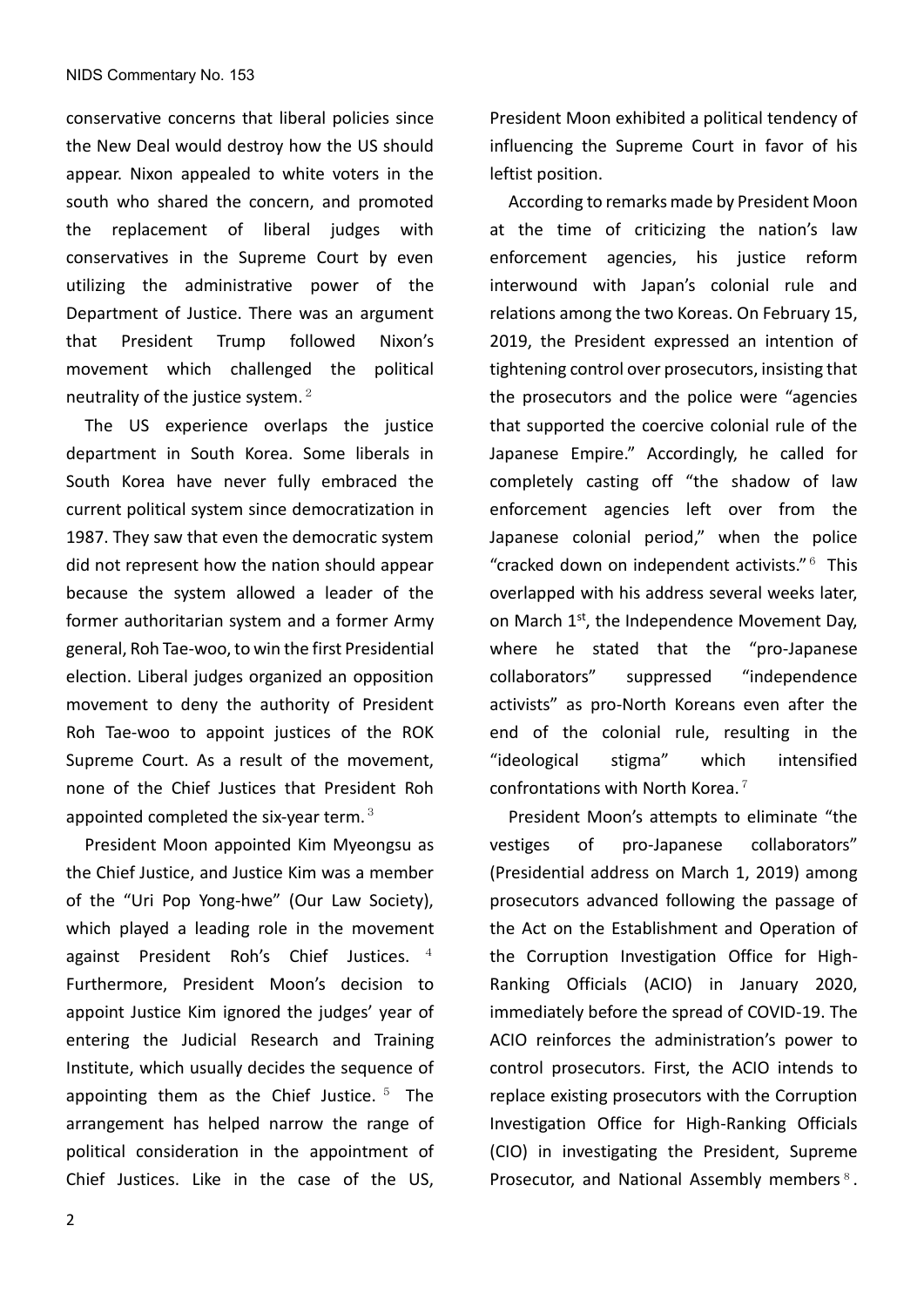conservative concerns that liberal policies since the New Deal would destroy how the US should appear. Nixon appealed to white voters in the south who shared the concern, and promoted the replacement of liberal judges with conservatives in the Supreme Court by even utilizing the administrative power of the Department of Justice. There was an argument that President Trump followed Nixon's movement which challenged the political neutrality of the justice system. $2$ 

The US experience overlaps the justice department in South Korea. Some liberals in South Korea have never fully embraced the current political system since democratization in 1987. They saw that even the democratic system did not represent how the nation should appear because the system allowed a leader of the former authoritarian system and a former Army general, Roh Tae-woo, to win the first Presidential election. Liberal judges organized an opposition movement to deny the authority of President Roh Tae-woo to appoint justices of the ROK Supreme Court. As a result of the movement, none of the Chief Justices that President Roh appointed completed the six-year term. $3$ 

President Moon appointed Kim Myeongsu as the Chief Justice, and Justice Kim was a member of the "Uri Pop Yong-hwe" (Our Law Society), which played a leading role in the movement against President Roh's Chief Justices.  $4$ Furthermore, President Moon's decision to appoint Justice Kim ignored the judges' year of entering the Judicial Research and Training Institute, which usually decides the sequence of appointing them as the Chief Justice.  $5$  The arrangement has helped narrow the range of political consideration in the appointment of Chief Justices. Like in the case of the US,

President Moon exhibited a political tendency of influencing the Supreme Court in favor of his leftist position.

According to remarks made by President Moon at the time of criticizing the nation's law enforcement agencies, his justice reform interwound with Japan's colonial rule and relations among the two Koreas. On February 15, 2019, the President expressed an intention of tightening control over prosecutors, insisting that the prosecutors and the police were "agencies that supported the coercive colonial rule of the Japanese Empire." Accordingly, he called for completely casting off "the shadow of law enforcement agencies left over from the Japanese colonial period," when the police "cracked down on independent activists."<sup>6</sup> This overlapped with his address several weeks later, on March 1<sup>st</sup>, the Independence Movement Day, where he stated that the "pro-Japanese collaborators" suppressed "independence activists" as pro-North Koreans even after the end of the colonial rule, resulting in the "ideological stigma" which intensified confrontations with North Korea.<sup>7</sup>

President Moon's attempts to eliminate "the vestiges of pro-Japanese collaborators" (Presidential address on March 1, 2019) among prosecutors advanced following the passage of the Act on the Establishment and Operation of the Corruption Investigation Office for High-Ranking Officials (ACIO) in January 2020, immediately before the spread of COVID-19. The ACIO reinforces the administration's power to control prosecutors. First, the ACIO intends to replace existing prosecutors with the Corruption Investigation Office for High-Ranking Officials (CIO) in investigating the President, Supreme Prosecutor, and National Assembly members<sup>8</sup>.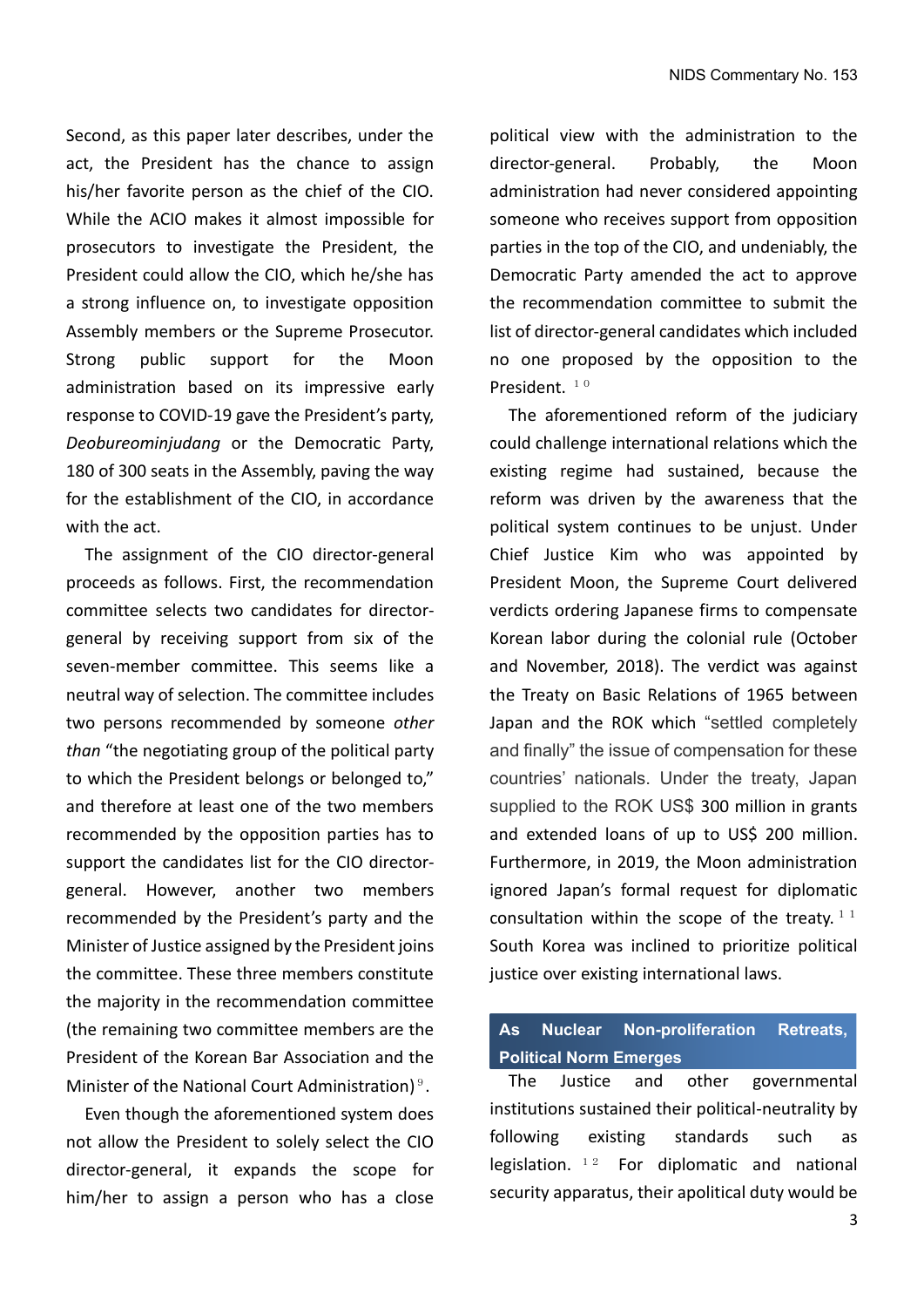Second, as this paper later describes, under the act, the President has the chance to assign his/her favorite person as the chief of the CIO. While the ACIO makes it almost impossible for prosecutors to investigate the President, the President could allow the CIO, which he/she has a strong influence on, to investigate opposition Assembly members or the Supreme Prosecutor. Strong public support for the Moon administration based on its impressive early response to COVID-19 gave the President's party, *Deobureominjudang* or the Democratic Party, 180 of 300 seats in the Assembly, paving the way for the establishment of the CIO, in accordance with the act.

The assignment of the CIO director-general proceeds as follows. First, the recommendation committee selects two candidates for directorgeneral by receiving support from six of the seven-member committee. This seems like a neutral way of selection. The committee includes two persons recommended by someone *other than* "the negotiating group of the political party to which the President belongs or belonged to," and therefore at least one of the two members recommended by the opposition parties has to support the candidates list for the CIO directorgeneral. However, another two members recommended by the President's party and the Minister of Justice assigned by the President joins the committee. These three members constitute the majority in the recommendation committee (the remaining two committee members are the President of the Korean Bar Association and the Minister of the National Court Administration)<sup>9</sup>.

 Even though the aforementioned system does not allow the President to solely select the CIO director-general, it expands the scope for him/her to assign a person who has a close

political view with the administration to the director-general. Probably, the Moon administration had never considered appointing someone who receives support from opposition parties in the top of the CIO, and undeniably, the Democratic Party amended the act to approve the recommendation committee to submit the list of director-general candidates which included no one proposed by the opposition to the President.  $10$ 

 The aforementioned reform of the judiciary could challenge international relations which the existing regime had sustained, because the reform was driven by the awareness that the political system continues to be unjust. Under Chief Justice Kim who was appointed by President Moon, the Supreme Court delivered verdicts ordering Japanese firms to compensate Korean labor during the colonial rule (October and November, 2018). The verdict was against the Treaty on Basic Relations of 1965 between Japan and the ROK which "settled completely and finally" the issue of compensation for these countries' nationals. Under the treaty, Japan supplied to the ROK US\$ 300 million in grants and extended loans of up to US\$ 200 million. Furthermore, in 2019, the Moon administration ignored Japan's formal request for diplomatic consultation within the scope of the treaty.<sup>11</sup> South Korea was inclined to prioritize political justice over existing international laws.

### **As Nuclear Non-proliferation Retreats, Political Norm Emerges**

The Justice and other governmental institutions sustained their political-neutrality by following existing standards such as legislation.  $12$  For diplomatic and national security apparatus, their apolitical duty would be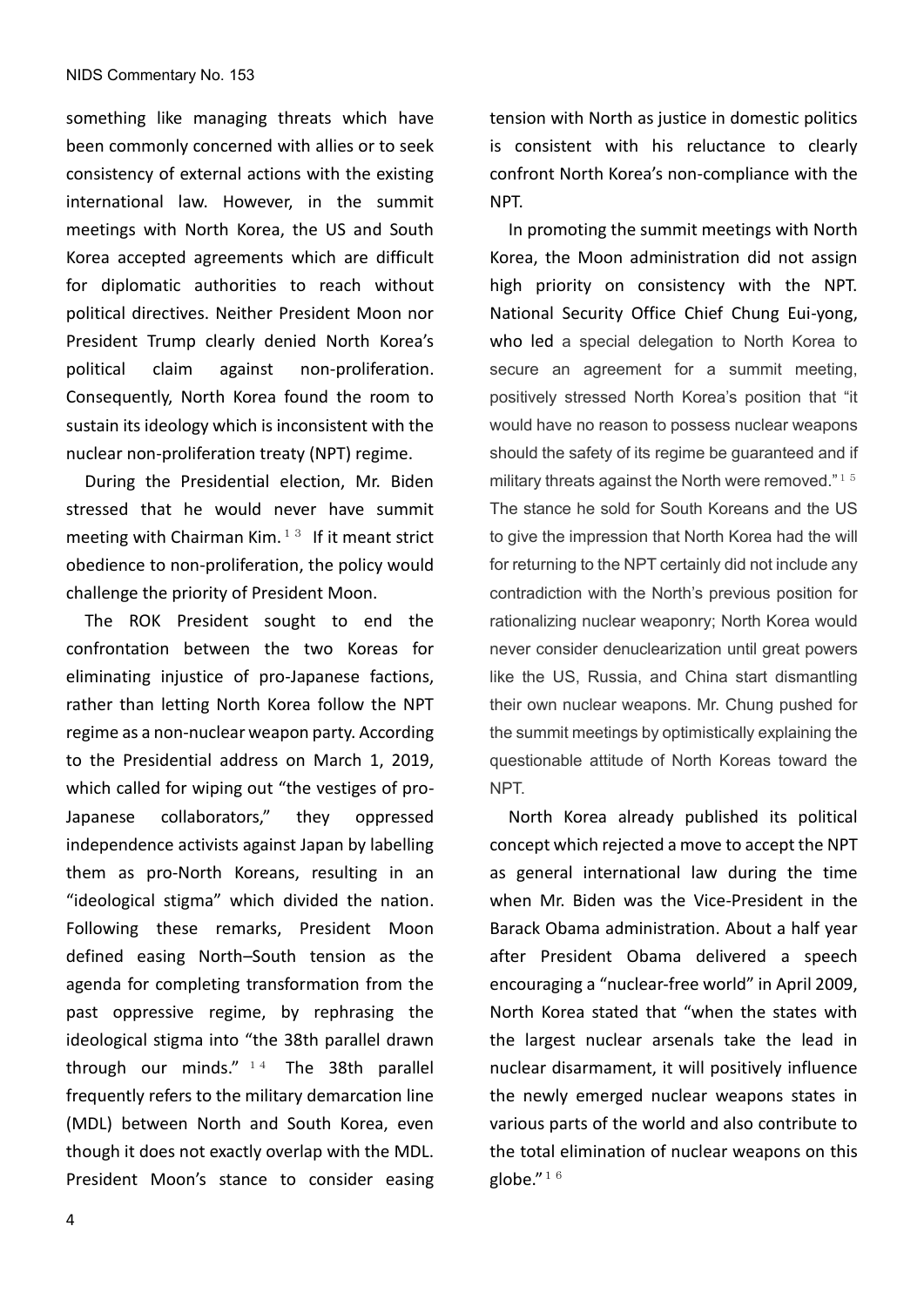something like managing threats which have been commonly concerned with allies or to seek consistency of external actions with the existing international law. However, in the summit meetings with North Korea, the US and South Korea accepted agreements which are difficult for diplomatic authorities to reach without political directives. Neither President Moon nor President Trump clearly denied North Korea's political claim against non-proliferation. Consequently, North Korea found the room to sustain its ideology which is inconsistent with the nuclear non-proliferation treaty (NPT) regime.

During the Presidential election, Mr. Biden stressed that he would never have summit meeting with Chairman Kim.<sup>13</sup> If it meant strict obedience to non-proliferation, the policy would challenge the priority of President Moon.

The ROK President sought to end the confrontation between the two Koreas for eliminating injustice of pro-Japanese factions, rather than letting North Korea follow the NPT regime as a non-nuclear weapon party. According to the Presidential address on March 1, 2019, which called for wiping out "the vestiges of pro-Japanese collaborators," they oppressed independence activists against Japan by labelling them as pro-North Koreans, resulting in an "ideological stigma" which divided the nation. Following these remarks, President Moon defined easing North–South tension as the agenda for completing transformation from the past oppressive regime, by rephrasing the ideological stigma into "the 38th parallel drawn through our minds."  $14$  The 38th parallel frequently refers to the military demarcation line (MDL) between North and South Korea, even though it does not exactly overlap with the MDL. President Moon's stance to consider easing tension with North as justice in domestic politics is consistent with his reluctance to clearly confront North Korea's non-compliance with the NPT.

In promoting the summit meetings with North Korea, the Moon administration did not assign high priority on consistency with the NPT. National Security Office Chief Chung Eui-yong, who led a special delegation to North Korea to secure an agreement for a summit meeting, positively stressed North Korea's position that "it would have no reason to possess nuclear weapons should the safety of its regime be guaranteed and if military threats against the North were removed." $15$ The stance he sold for South Koreans and the US to give the impression that North Korea had the will for returning to the NPT certainly did not include any contradiction with the North's previous position for rationalizing nuclear weaponry; North Korea would never consider denuclearization until great powers like the US, Russia, and China start dismantling their own nuclear weapons. Mr. Chung pushed for the summit meetings by optimistically explaining the questionable attitude of North Koreas toward the NPT.

North Korea already published its political concept which rejected a move to accept the NPT as general international law during the time when Mr. Biden was the Vice-President in the Barack Obama administration. About a half year after President Obama delivered a speech encouraging a "nuclear-free world" in April 2009, North Korea stated that "when the states with the largest nuclear arsenals take the lead in nuclear disarmament, it will positively influence the newly emerged nuclear weapons states in various parts of the world and also contribute to the total elimination of nuclear weapons on this globe. $^{\prime\prime}$   $^{1}$   $^{6}$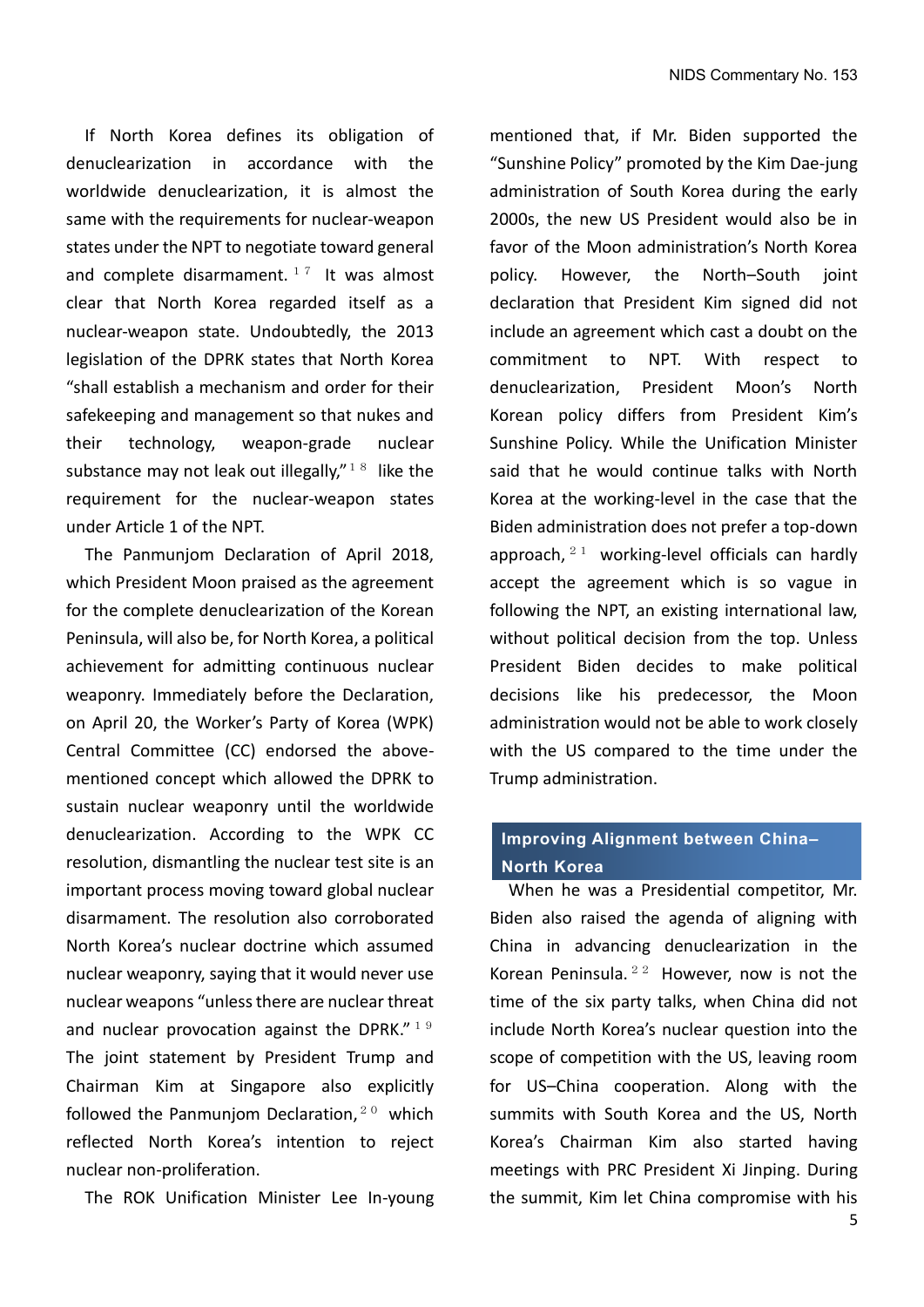If North Korea defines its obligation of denuclearization in accordance with the worldwide denuclearization, it is almost the same with the requirements for nuclear-weapon states under the NPT to negotiate toward general and complete disarmament.  $17$  It was almost clear that North Korea regarded itself as a nuclear-weapon state. Undoubtedly, the 2013 legislation of the DPRK states that North Korea "shall establish a mechanism and order for their safekeeping and management so that nukes and their technology, weapon-grade nuclear substance may not leak out illegally," $18$  like the requirement for the nuclear-weapon states under Article 1 of the NPT.

The Panmunjom Declaration of April 2018, which President Moon praised as the agreement for the complete denuclearization of the Korean Peninsula, will also be, for North Korea, a political achievement for admitting continuous nuclear weaponry. Immediately before the Declaration, on April 20, the Worker's Party of Korea (WPK) Central Committee (CC) endorsed the abovementioned concept which allowed the DPRK to sustain nuclear weaponry until the worldwide denuclearization. According to the WPK CC resolution, dismantling the nuclear test site is an important process moving toward global nuclear disarmament. The resolution also corroborated North Korea's nuclear doctrine which assumed nuclear weaponry, saying that it would never use nuclear weapons "unless there are nuclear threat and nuclear provocation against the DPRK." $19$ The joint statement by President Trump and Chairman Kim at Singapore also explicitly followed the Panmunjom Declaration, $20$  which reflected North Korea's intention to reject nuclear non-proliferation.

The ROK Unification Minister Lee In-young

mentioned that, if Mr. Biden supported the "Sunshine Policy" promoted by the Kim Dae-jung administration of South Korea during the early 2000s, the new US President would also be in favor of the Moon administration's North Korea policy. However, the North–South joint declaration that President Kim signed did not include an agreement which cast a doubt on the commitment to NPT. With respect to denuclearization, President Moon's North Korean policy differs from President Kim's Sunshine Policy. While the Unification Minister said that he would continue talks with North Korea at the working-level in the case that the Biden administration does not prefer a top-down approach,  $21$  working-level officials can hardly accept the agreement which is so vague in following the NPT, an existing international law, without political decision from the top. Unless President Biden decides to make political decisions like his predecessor, the Moon administration would not be able to work closely with the US compared to the time under the Trump administration.

### **Improving Alignment between China– North Korea**

When he was a Presidential competitor, Mr. Biden also raised the agenda of aligning with China in advancing denuclearization in the Korean Peninsula.<sup>22</sup> However, now is not the time of the six party talks, when China did not include North Korea's nuclear question into the scope of competition with the US, leaving room for US–China cooperation. Along with the summits with South Korea and the US, North Korea's Chairman Kim also started having meetings with PRC President Xi Jinping. During the summit, Kim let China compromise with his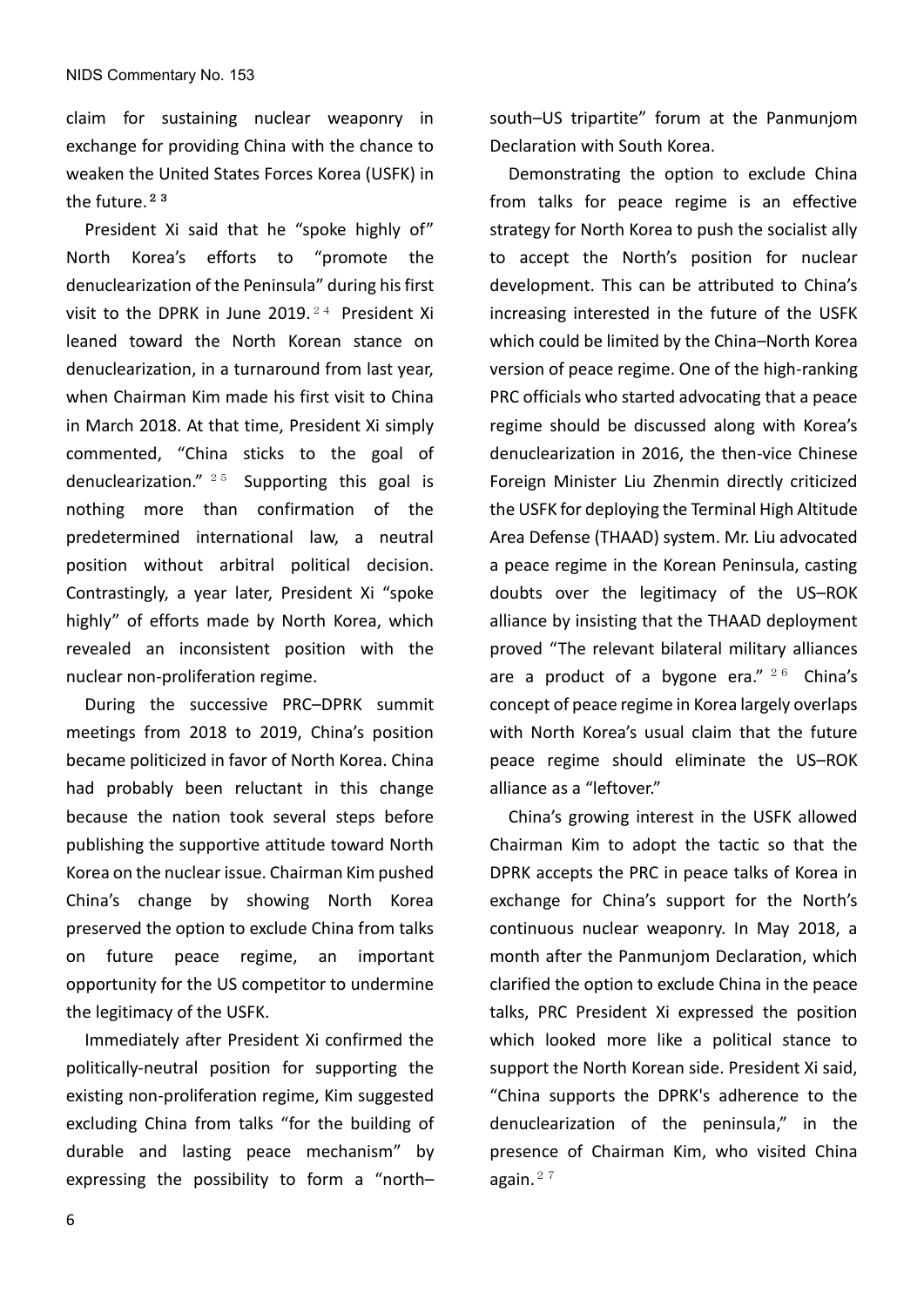claim for sustaining nuclear weaponry in exchange for providing China with the chance to weaken the United States Forces Korea (USFK) in the future.<sup>23</sup>

President Xi said that he "spoke highly of" North Korea's efforts to "promote the denuclearization of the Peninsula" during his first visit to the DPRK in June 2019.<sup>24</sup> President Xi leaned toward the North Korean stance on denuclearization, in a turnaround from last year, when Chairman Kim made his first visit to China in March 2018. At that time, President Xi simply commented, "China sticks to the goal of denuclearization."  $25$  Supporting this goal is nothing more than confirmation of the predetermined international law, a neutral position without arbitral political decision. Contrastingly, a year later, President Xi "spoke highly" of efforts made by North Korea, which revealed an inconsistent position with the nuclear non-proliferation regime.

During the successive PRC–DPRK summit meetings from 2018 to 2019, China's position became politicized in favor of North Korea. China had probably been reluctant in this change because the nation took several steps before publishing the supportive attitude toward North Korea on the nuclear issue. Chairman Kim pushed China's change by showing North Korea preserved the option to exclude China from talks on future peace regime, an important opportunity for the US competitor to undermine the legitimacy of the USFK.

Immediately after President Xi confirmed the politically-neutral position for supporting the existing non-proliferation regime, Kim suggested excluding China from talks "for the building of durable and lasting peace mechanism" by expressing the possibility to form a "north–

south–US tripartite" forum at the Panmunjom Declaration with South Korea.

Demonstrating the option to exclude China from talks for peace regime is an effective strategy for North Korea to push the socialist ally to accept the North's position for nuclear development. This can be attributed to China's increasing interested in the future of the USFK which could be limited by the China–North Korea version of peace regime. One of the high-ranking PRC officials who started advocating that a peace regime should be discussed along with Korea's denuclearization in 2016, the then-vice Chinese Foreign Minister Liu Zhenmin directly criticized the USFK for deploying the Terminal High Altitude Area Defense (THAAD) system. Mr. Liu advocated a peace regime in the Korean Peninsula, casting doubts over the legitimacy of the US–ROK alliance by insisting that the THAAD deployment proved "The relevant bilateral military alliances are a product of a bygone era."  $26$  China's concept of peace regime in Korea largely overlaps with North Korea's usual claim that the future peace regime should eliminate the US–ROK alliance as a "leftover."

China's growing interest in the USFK allowed Chairman Kim to adopt the tactic so that the DPRK accepts the PRC in peace talks of Korea in exchange for China's support for the North's continuous nuclear weaponry. In May 2018, a month after the Panmunjom Declaration, which clarified the option to exclude China in the peace talks, PRC President Xi expressed the position which looked more like a political stance to support the North Korean side. President Xi said, "China supports the DPRK's adherence to the denuclearization of the peninsula," in the presence of Chairman Kim, who visited China again. $27$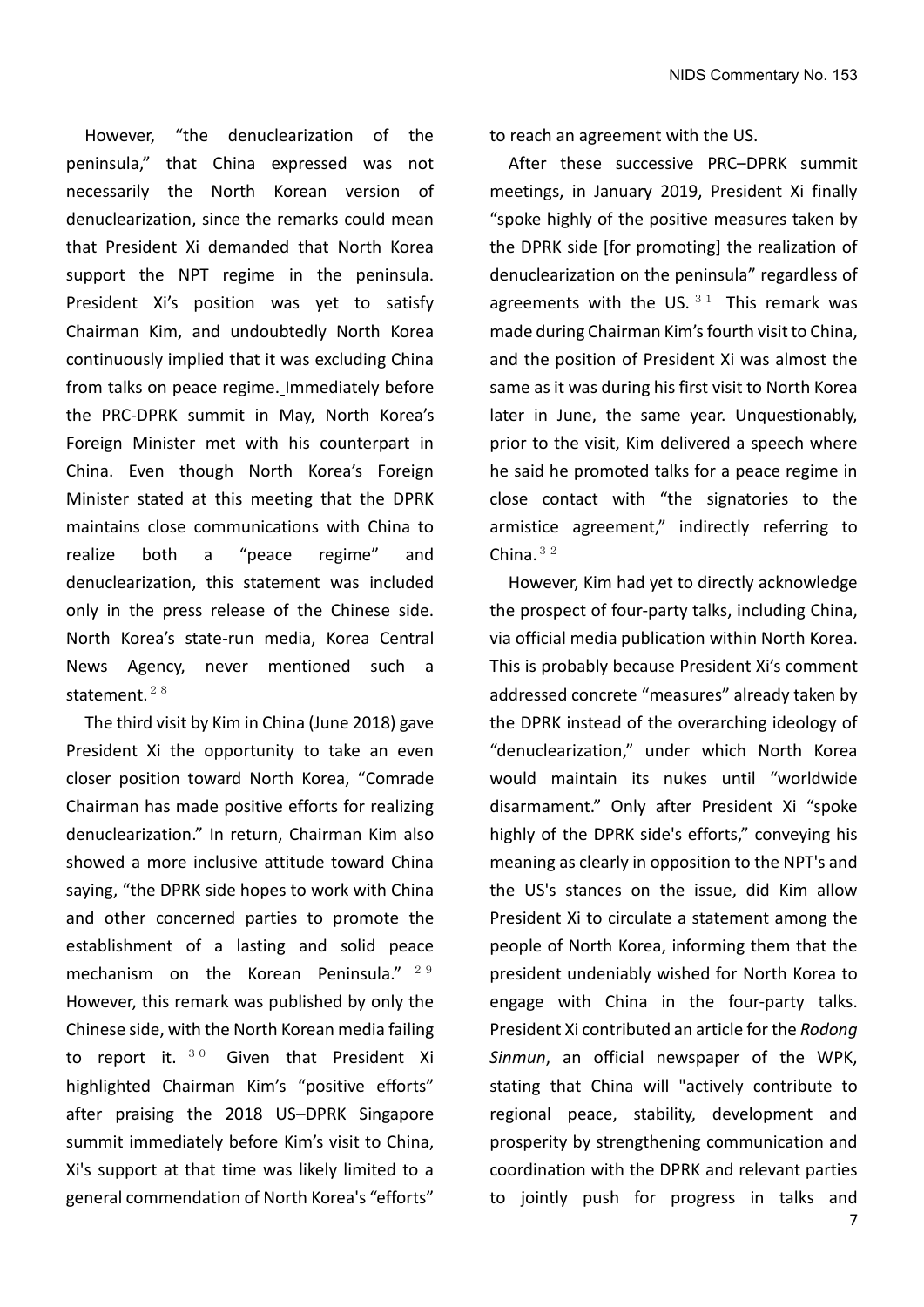However, "the denuclearization of the peninsula," that China expressed was not necessarily the North Korean version of denuclearization, since the remarks could mean that President Xi demanded that North Korea support the NPT regime in the peninsula. President Xi's position was yet to satisfy Chairman Kim, and undoubtedly North Korea continuously implied that it was excluding China from talks on peace regime. Immediately before the PRC-DPRK summit in May, North Korea's Foreign Minister met with his counterpart in China. Even though North Korea's Foreign Minister stated at this meeting that the DPRK maintains close communications with China to realize both a "peace regime" and denuclearization, this statement was included only in the press release of the Chinese side. North Korea's state-run media, Korea Central News Agency, never mentioned such a statement.<sup>28</sup>

The third visit by Kim in China (June 2018) gave President Xi the opportunity to take an even closer position toward North Korea, "Comrade Chairman has made positive efforts for realizing denuclearization." In return, Chairman Kim also showed a more inclusive attitude toward China saying, "the DPRK side hopes to work with China and other concerned parties to promote the establishment of a lasting and solid peace mechanism on the Korean Peninsula."  $2.9$ However, this remark was published by only the Chinese side, with the North Korean media failing to report it.  $30$  Given that President Xi highlighted Chairman Kim's "positive efforts" after praising the 2018 US–DPRK Singapore summit immediately before Kim's visit to China, Xi's support at that time was likely limited to a general commendation of North Korea's "efforts"

to reach an agreement with the US.

After these successive PRC–DPRK summit meetings, in January 2019, President Xi finally "spoke highly of the positive measures taken by the DPRK side [for promoting] the realization of denuclearization on the peninsula" regardless of agreements with the US.  $31$  This remark was made during Chairman Kim's fourth visit to China, and the position of President Xi was almost the same as it was during his first visit to North Korea later in June, the same year. Unquestionably, prior to the visit, Kim delivered a speech where he said he promoted talks for a peace regime in close contact with "the signatories to the armistice agreement," indirectly referring to China. $32$ 

However, Kim had yet to directly acknowledge the prospect of four-party talks, including China, via official media publication within North Korea. This is probably because President Xi's comment addressed concrete "measures" already taken by the DPRK instead of the overarching ideology of "denuclearization," under which North Korea would maintain its nukes until "worldwide disarmament." Only after President Xi "spoke highly of the DPRK side's efforts," conveying his meaning as clearly in opposition to the NPT's and the US's stances on the issue, did Kim allow President Xi to circulate a statement among the people of North Korea, informing them that the president undeniably wished for North Korea to engage with China in the four-party talks. President Xi contributed an article for the *Rodong Sinmun*, an official newspaper of the WPK, stating that China will "actively contribute to regional peace, stability, development and prosperity by strengthening communication and coordination with the DPRK and relevant parties to jointly push for progress in talks and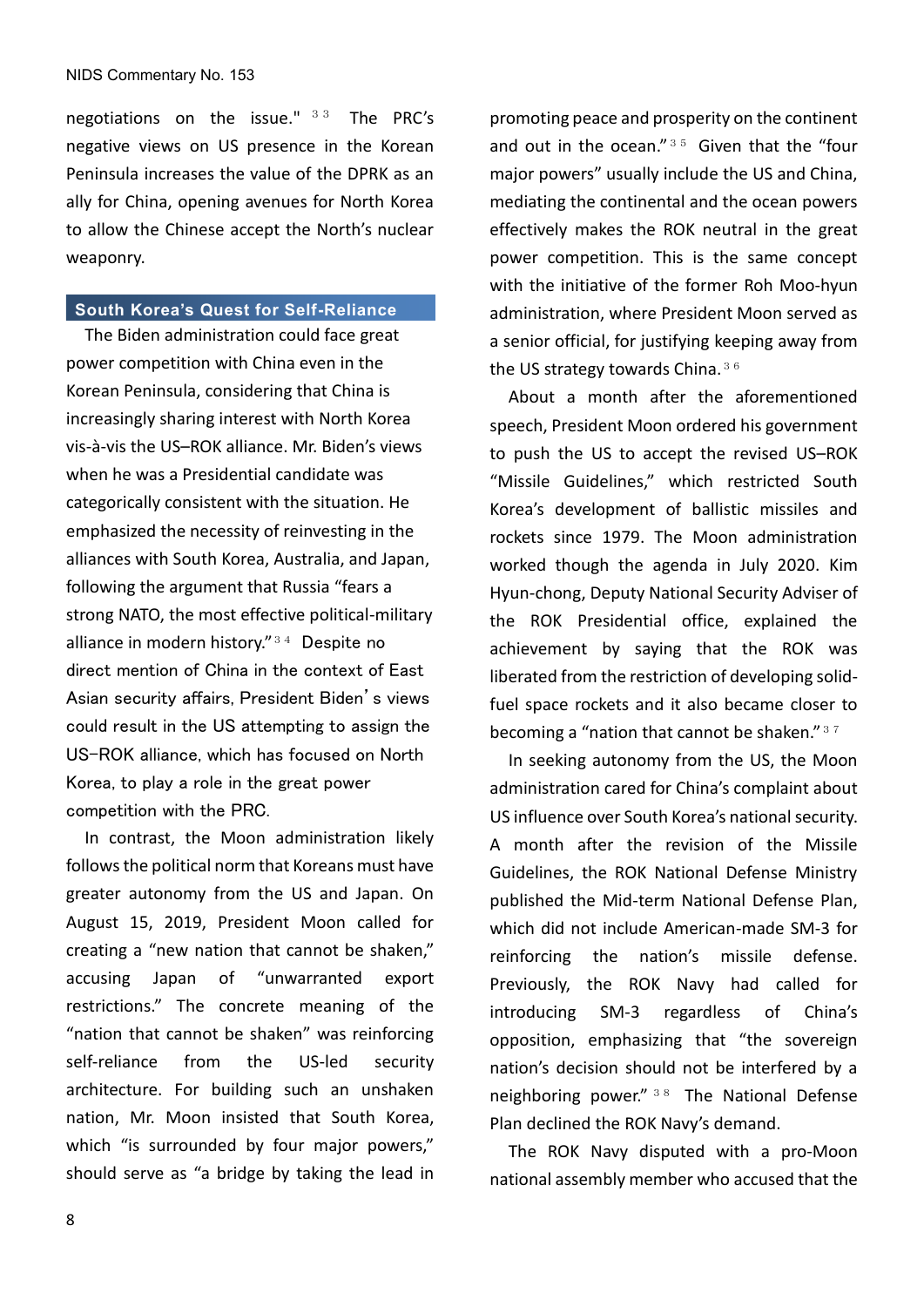negotiations on the issue." 33 The PRC's negative views on US presence in the Korean Peninsula increases the value of the DPRK as an ally for China, opening avenues for North Korea to allow the Chinese accept the North's nuclear weaponry.

#### **South Korea's Quest for Self-Reliance**

The Biden administration could face great power competition with China even in the Korean Peninsula, considering that China is increasingly sharing interest with North Korea vis-à-vis the US–ROK alliance. Mr. Biden's views when he was a Presidential candidate was categorically consistent with the situation. He emphasized the necessity of reinvesting in the alliances with South Korea, Australia, and Japan, following the argument that Russia "fears a strong NATO, the most effective political-military alliance in modern history."<sup>34</sup> Despite no direct mention of China in the context of East Asian security affairs, President Biden's views could result in the US attempting to assign the US-ROK alliance, which has focused on North Korea, to play a role in the great power competition with the PRC.

 In contrast, the Moon administration likely follows the political norm that Koreans must have greater autonomy from the US and Japan. On August 15, 2019, President Moon called for creating a "new nation that cannot be shaken," accusing Japan of "unwarranted export restrictions." The concrete meaning of the "nation that cannot be shaken" was reinforcing self-reliance from the US-led security architecture. For building such an unshaken nation, Mr. Moon insisted that South Korea, which "is surrounded by four major powers," should serve as "a bridge by taking the lead in

promoting peace and prosperity on the continent and out in the ocean." $35$  Given that the "four major powers" usually include the US and China, mediating the continental and the ocean powers effectively makes the ROK neutral in the great power competition. This is the same concept with the initiative of the former Roh Moo-hyun administration, where President Moon served as a senior official, for justifying keeping away from the US strategy towards China.  $36$ 

About a month after the aforementioned speech, President Moon ordered his government to push the US to accept the revised US–ROK "Missile Guidelines," which restricted South Korea's development of ballistic missiles and rockets since 1979. The Moon administration worked though the agenda in July 2020. Kim Hyun-chong, Deputy National Security Adviser of the ROK Presidential office, explained the achievement by saying that the ROK was liberated from the restriction of developing solidfuel space rockets and it also became closer to becoming a "nation that cannot be shaken." $37$ 

In seeking autonomy from the US, the Moon administration cared for China's complaint about US influence over South Korea's national security. A month after the revision of the Missile Guidelines, the ROK National Defense Ministry published the Mid-term National Defense Plan, which did not include American-made SM-3 for reinforcing the nation's missile defense. Previously, the ROK Navy had called for introducing SM-3 regardless of China's opposition, emphasizing that "the sovereign nation's decision should not be interfered by a neighboring power." <sup>38</sup> The National Defense Plan declined the ROK Navy's demand.

The ROK Navy disputed with a pro-Moon national assembly member who accused that the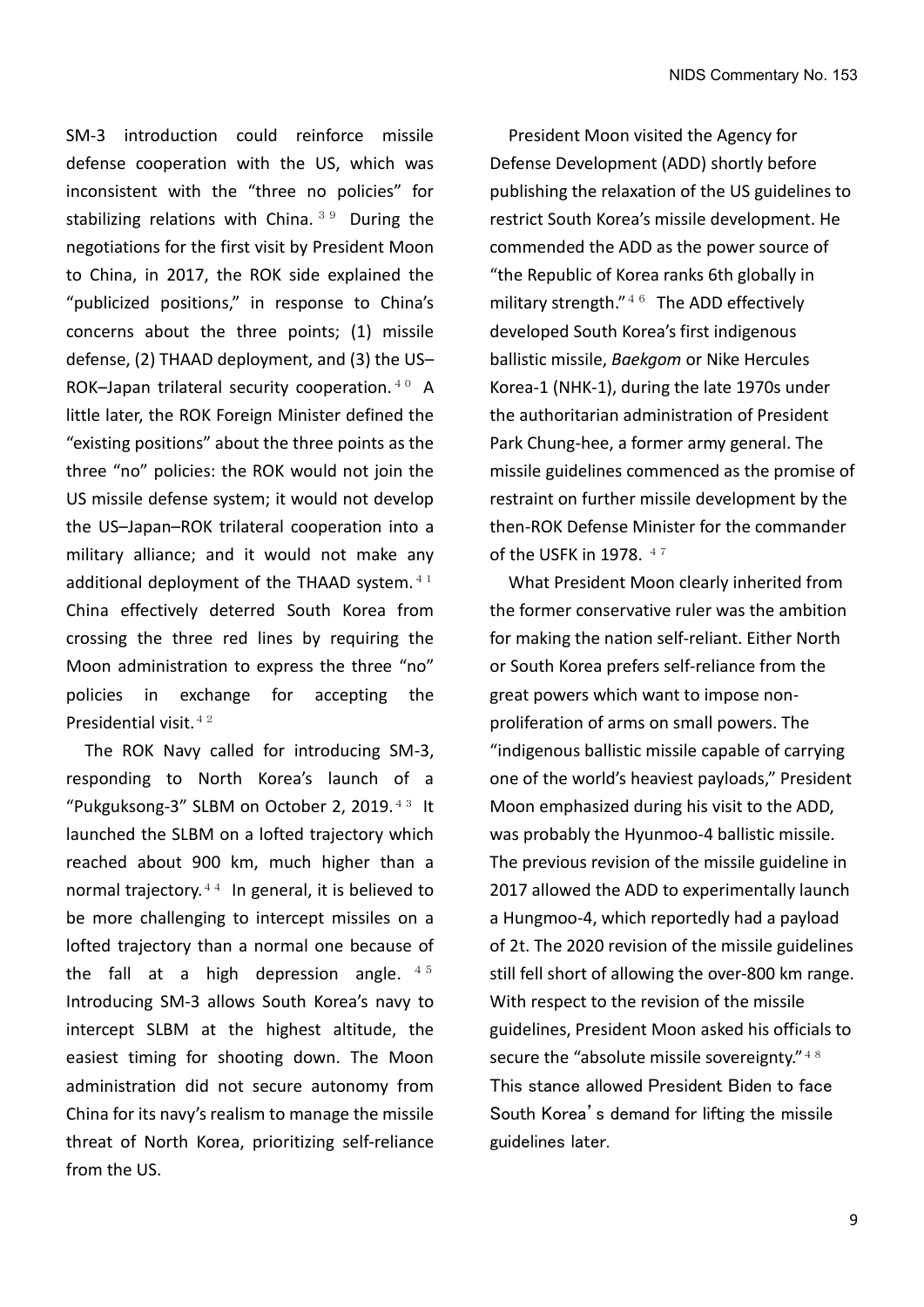SM-3 introduction could reinforce missile defense cooperation with the US, which was inconsistent with the "three no policies" for stabilizing relations with China.  $39$  During the negotiations for the first visit by President Moon to China, in 2017, the ROK side explained the "publicized positions," in response to China's concerns about the three points; (1) missile defense, (2) THAAD deployment, and (3) the US– ROK-Japan trilateral security cooperation.  $40$  A little later, the ROK Foreign Minister defined the "existing positions" about the three points as the three "no" policies: the ROK would not join the US missile defense system; it would not develop the US–Japan–ROK trilateral cooperation into a military alliance; and it would not make any additional deployment of the THAAD system. $41$ China effectively deterred South Korea from crossing the three red lines by requiring the Moon administration to express the three "no" policies in exchange for accepting the Presidential visit.<sup>42</sup>

The ROK Navy called for introducing SM-3, responding to North Korea's launch of a "Pukguksong-3" SLBM on October 2, 2019.<sup>43</sup> It launched the SLBM on a lofted trajectory which reached about 900 km, much higher than a normal trajectory. $44$  In general, it is believed to be more challenging to intercept missiles on a lofted trajectory than a normal one because of the fall at a high depression angle.  $4.5$ Introducing SM-3 allows South Korea's navy to intercept SLBM at the highest altitude, the easiest timing for shooting down. The Moon administration did not secure autonomy from China for its navy's realism to manage the missile threat of North Korea, prioritizing self-reliance from the US.

President Moon visited the Agency for Defense Development (ADD) shortly before publishing the relaxation of the US guidelines to restrict South Korea's missile development. He commended the ADD as the power source of "the Republic of Korea ranks 6th globally in military strength." $46$  The ADD effectively developed South Korea's first indigenous ballistic missile, *Baekgom* or Nike Hercules Korea-1 (NHK-1), during the late 1970s under the authoritarian administration of President Park Chung-hee, a former army general. The missile guidelines commenced as the promise of restraint on further missile development by the then-ROK Defense Minister for the commander of the USFK in 1978.  $47$ 

 What President Moon clearly inherited from the former conservative ruler was the ambition for making the nation self-reliant. Either North or South Korea prefers self-reliance from the great powers which want to impose nonproliferation of arms on small powers. The "indigenous ballistic missile capable of carrying one of the world's heaviest payloads," President Moon emphasized during his visit to the ADD, was probably the Hyunmoo-4 ballistic missile. The previous revision of the missile guideline in 2017 allowed the ADD to experimentally launch a Hungmoo-4, which reportedly had a payload of 2t. The 2020 revision of the missile guidelines still fell short of allowing the over-800 km range. With respect to the revision of the missile guidelines, President Moon asked his officials to secure the "absolute missile sovereignty." $48$ This stance allowed President Biden to face South Korea's demand for lifting the missile guidelines later.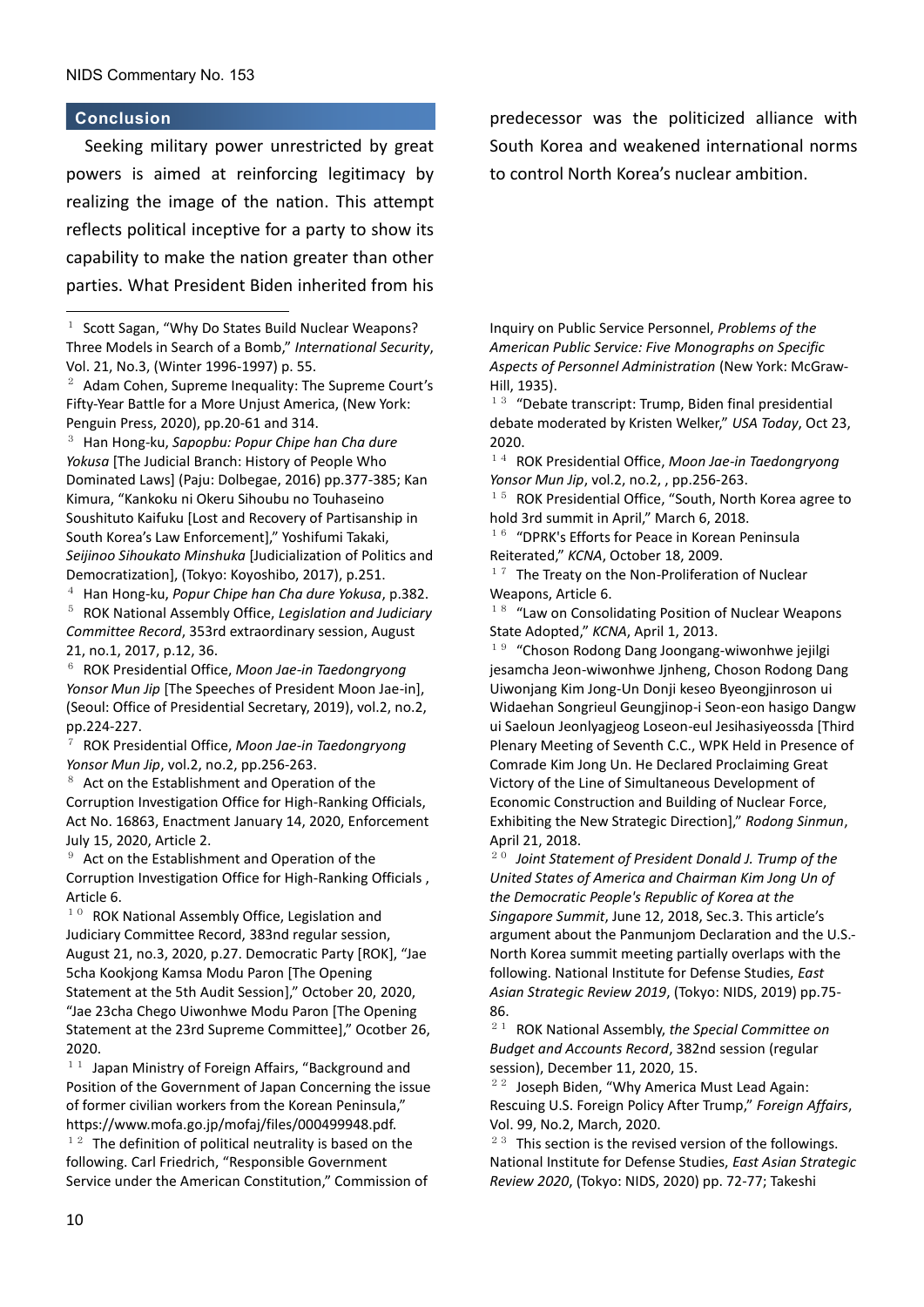#### **Conclusion**

Seeking military power unrestricted by great powers is aimed at reinforcing legitimacy by realizing the image of the nation. This attempt reflects political inceptive for a party to show its capability to make the nation greater than other parties. What President Biden inherited from his

 $2$  Adam Cohen, Supreme Inequality: The Supreme Court's Fifty-Year Battle for a More Unjust America, (New York: Penguin Press, 2020), pp.20-61 and 314.

<sup>3</sup> Han Hong-ku, *Sapopbu: Popur Chipe han Cha dure Yokusa* [The Judicial Branch: History of People Who Dominated Laws] (Paju: Dolbegae, 2016) pp.377-385; Kan Kimura, "Kankoku ni Okeru Sihoubu no Touhaseino Soushituto Kaifuku [Lost and Recovery of Partisanship in South Korea's Law Enforcement]," Yoshifumi Takaki, *Seijinoo Sihoukato Minshuka* [Judicialization of Politics and Democratization], (Tokyo: Koyoshibo, 2017), p.251.

<sup>4</sup> Han Hong-ku, *Popur Chipe han Cha dure Yokusa*, p.382.

<sup>5</sup> ROK National Assembly Office, *Legislation and Judiciary Committee Record*, 353rd extraordinary session, August 21, no.1, 2017, p.12, 36.

<sup>6</sup> ROK Presidential Office, *Moon Jae-in Taedongryong Yonsor Mun Jip* [The Speeches of President Moon Jae-in], (Seoul: Office of Presidential Secretary, 2019), vol.2, no.2, pp.224-227.

<sup>7</sup> ROK Presidential Office, *Moon Jae-in Taedongryong Yonsor Mun Jip*, vol.2, no.2, pp.256-263.

 $8<sup>8</sup>$  Act on the Establishment and Operation of the Corruption Investigation Office for High-Ranking Officials, Act No. 16863, Enactment January 14, 2020, Enforcement July 15, 2020, Article 2.

<sup>9</sup> Act on the Establishment and Operation of the Corruption Investigation Office for High-Ranking Officials , Article 6.

 $10$  ROK National Assembly Office, Legislation and Judiciary Committee Record, 383nd regular session, August 21, no.3, 2020, p.27. Democratic Party [ROK], "Jae 5cha Kookjong Kamsa Modu Paron [The Opening Statement at the 5th Audit Session]," October 20, 2020, "Jae 23cha Chego Uiwonhwe Modu Paron [The Opening Statement at the 23rd Supreme Committee]," Ocotber 26, 2020.

 $11$  Japan Ministry of Foreign Affairs, "Background and Position of the Government of Japan Concerning the issue of former civilian workers from the Korean Peninsula," https://www.mofa.go.jp/mofaj/files/000499948.pdf.

 $12$  The definition of political neutrality is based on the following. Carl Friedrich, "Responsible Government Service under the American Constitution," Commission of predecessor was the politicized alliance with South Korea and weakened international norms to control North Korea's nuclear ambition.

Inquiry on Public Service Personnel, *Problems of the American Public Service: Five Monographs on Specific Aspects of Personnel Administration* (New York: McGraw-Hill, 1935).

<sup>13</sup> "Debate transcript: Trump, Biden final presidential debate moderated by Kristen Welker," *USA Today*, Oct 23, 2020.

<sup>14</sup> ROK Presidential Office, *Moon Jae-in Taedongryong Yonsor Mun Jip*, vol.2, no.2, , pp.256-263.

 $15$  ROK Presidential Office, "South, North Korea agree to hold 3rd summit in April," March 6, 2018.

 $16$  "DPRK's Efforts for Peace in Korean Peninsula Reiterated," *KCNA*, October 18, 2009.

 $17$  The Treaty on the Non-Proliferation of Nuclear Weapons, Article 6.

<sup>18</sup> "Law on Consolidating Position of Nuclear Weapons State Adopted," *KCNA*, April 1, 2013.

 $19$  "Choson Rodong Dang Joongang-wiwonhwe jejilgi jesamcha Jeon-wiwonhwe Jjnheng, Choson Rodong Dang Uiwonjang Kim Jong-Un Donji keseo Byeongjinroson ui Widaehan Songrieul Geungjinop-i Seon-eon hasigo Dangw ui Saeloun Jeonlyagjeog Loseon-eul Jesihasiyeossda [Third Plenary Meeting of Seventh C.C., WPK Held in Presence of Comrade Kim Jong Un. He Declared Proclaiming Great Victory of the Line of Simultaneous Development of Economic Construction and Building of Nuclear Force, Exhibiting the New Strategic Direction]," *Rodong Sinmun*, April 21, 2018.

<sup>20</sup> *Joint Statement of President Donald J. Trump of the United States of America and Chairman Kim Jong Un of the Democratic People's Republic of Korea at the Singapore Summit*, June 12, 2018, Sec.3. This article's argument about the Panmunjom Declaration and the U.S.- North Korea summit meeting partially overlaps with the following. National Institute for Defense Studies, *East Asian Strategic Review 2019*, (Tokyo: NIDS, 2019) pp.75- 86.

<sup>21</sup> ROK National Assembly, *the Special Committee on Budget and Accounts Record*, 382nd session (regular session), December 11, 2020, 15.

 $22$  Joseph Biden, "Why America Must Lead Again: Rescuing U.S. Foreign Policy After Trump," *Foreign Affairs*, Vol. 99, No.2, March, 2020.

 $23$  This section is the revised version of the followings. National Institute for Defense Studies, *East Asian Strategic Review 2020*, (Tokyo: NIDS, 2020) pp. 72-77; Takeshi

<sup>&</sup>lt;sup>1</sup> Scott Sagan, "Why Do States Build Nuclear Weapons? Three Models in Search of a Bomb," *International Security*, Vol. 21, No.3, (Winter 1996-1997) p. 55.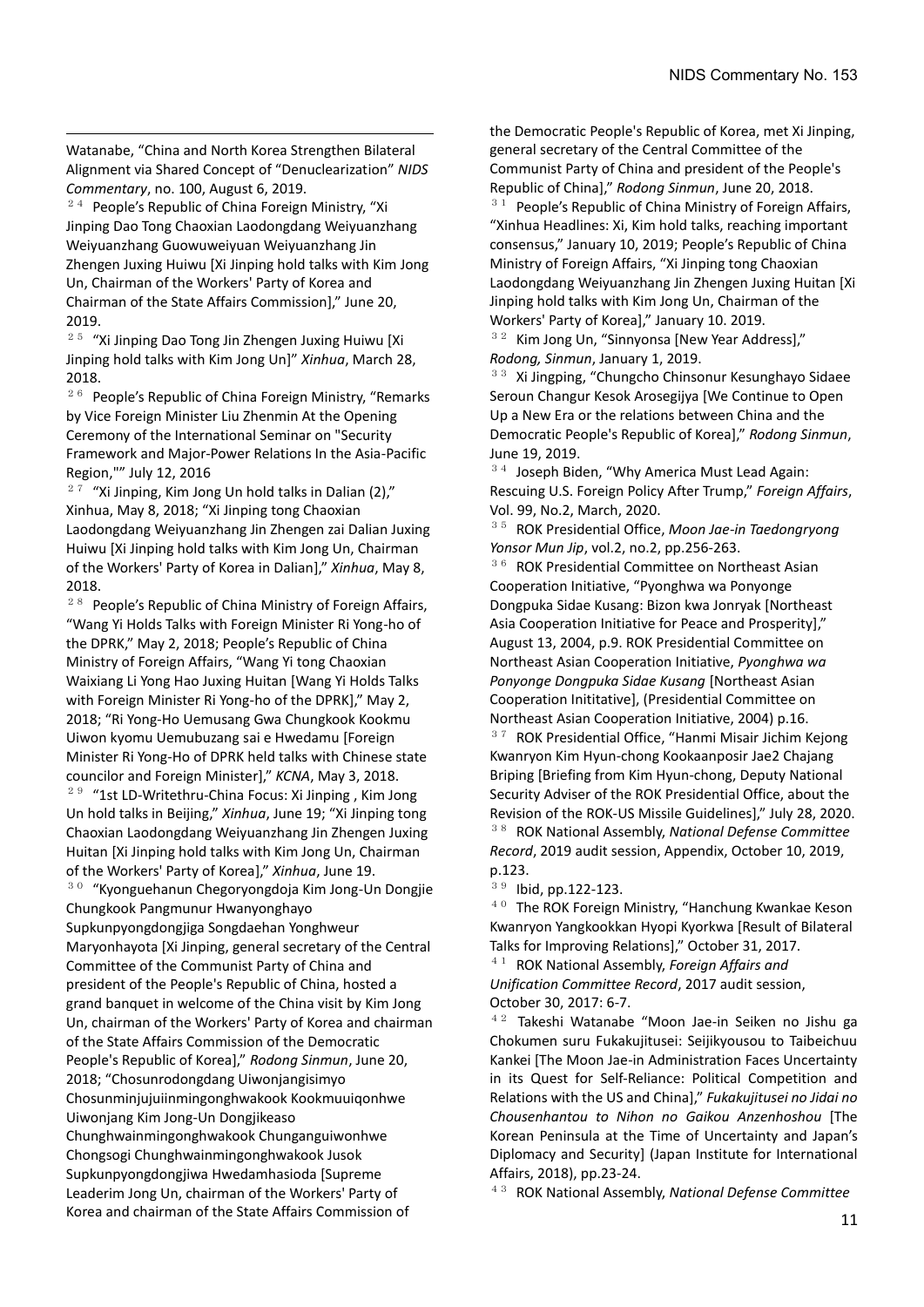Watanabe, "China and North Korea Strengthen Bilateral Alignment via Shared Concept of "Denuclearization" *NIDS Commentary*, no. 100, August 6, 2019.

 $24$  People's Republic of China Foreign Ministry, "Xi Jinping Dao Tong Chaoxian Laodongdang Weiyuanzhang Weiyuanzhang Guowuweiyuan Weiyuanzhang Jin Zhengen Juxing Huiwu [Xi Jinping hold talks with Kim Jong Un, Chairman of the Workers' Party of Korea and Chairman of the State Affairs Commission]," June 20, 2019.

<sup>25</sup> "Xi Jinping Dao Tong Jin Zhengen Juxing Huiwu [Xi Jinping hold talks with Kim Jong Un]" *Xinhua*, March 28, 2018.

<sup>26</sup> People's Republic of China Foreign Ministry, "Remarks by Vice Foreign Minister Liu Zhenmin At the Opening Ceremony of the International Seminar on "Security Framework and Major-Power Relations In the Asia-Pacific Region,"" July 12, 2016

 $27$  "Xi Jinping, Kim Jong Un hold talks in Dalian (2)," Xinhua, May 8, 2018; "Xi Jinping tong Chaoxian Laodongdang Weiyuanzhang Jin Zhengen zai Dalian Juxing Huiwu [Xi Jinping hold talks with Kim Jong Un, Chairman of the Workers' Party of Korea in Dalian]," *Xinhua*, May 8, 2018.

<sup>28</sup> People's Republic of China Ministry of Foreign Affairs, "Wang Yi Holds Talks with Foreign Minister Ri Yong-ho of the DPRK," May 2, 2018; People's Republic of China Ministry of Foreign Affairs, "Wang Yi tong Chaoxian Waixiang Li Yong Hao Juxing Huitan [Wang Yi Holds Talks with Foreign Minister Ri Yong-ho of the DPRK]," May 2, 2018; "Ri Yong-Ho Uemusang Gwa Chungkook Kookmu Uiwon kyomu Uemubuzang sai e Hwedamu [Foreign Minister Ri Yong-Ho of DPRK held talks with Chinese state councilor and Foreign Minister]," *KCNA*, May 3, 2018. <sup>29</sup> "1st LD-Writethru-China Focus: Xi Jinping , Kim Jong Un hold talks in Beijing," *Xinhua*, June 19; "Xi Jinping tong Chaoxian Laodongdang Weiyuanzhang Jin Zhengen Juxing Huitan [Xi Jinping hold talks with Kim Jong Un, Chairman of the Workers' Party of Korea]," *Xinhua*, June 19. <sup>30</sup> "Kyonguehanun Chegoryongdoja Kim Jong-Un Dongjie Chungkook Pangmunur Hwanyonghayo Supkunpyongdongjiga Songdaehan Yonghweur Maryonhayota [Xi Jinping, general secretary of the Central

Committee of the Communist Party of China and president of the People's Republic of China, hosted a grand banquet in welcome of the China visit by Kim Jong Un, chairman of the Workers' Party of Korea and chairman of the State Affairs Commission of the Democratic People's Republic of Korea]," *Rodong Sinmun*, June 20, 2018; "Chosunrodongdang Uiwonjangisimyo Chosunminjujuiinmingonghwakook Kookmuuiqonhwe Uiwonjang Kim Jong-Un Dongjikeaso Chunghwainmingonghwakook Chunganguiwonhwe Chongsogi Chunghwainmingonghwakook Jusok Supkunpyongdongjiwa Hwedamhasioda [Supreme Leaderim Jong Un, chairman of the Workers' Party of Korea and chairman of the State Affairs Commission of

the Democratic People's Republic of Korea, met Xi Jinping, general secretary of the Central Committee of the Communist Party of China and president of the People's Republic of China]," *Rodong Sinmun*, June 20, 2018.  $31$  People's Republic of China Ministry of Foreign Affairs,

"Xinhua Headlines: Xi, Kim hold talks, reaching important consensus," January 10, 2019; People's Republic of China Ministry of Foreign Affairs, "Xi Jinping tong Chaoxian Laodongdang Weiyuanzhang Jin Zhengen Juxing Huitan [Xi Jinping hold talks with Kim Jong Un, Chairman of the Workers' Party of Korea]," January 10. 2019.

<sup>32</sup> Kim Jong Un, "Sinnyonsa [New Year Address]," *Rodong, Sinmun*, January 1, 2019.

<sup>33</sup> Xi Jingping, "Chungcho Chinsonur Kesunghayo Sidaee Seroun Changur Kesok Arosegijya [We Continue to Open Up a New Era or the relations between China and the Democratic People's Republic of Korea]," *Rodong Sinmun*, June 19, 2019.

<sup>34</sup> Joseph Biden, "Why America Must Lead Again: Rescuing U.S. Foreign Policy After Trump," *Foreign Affairs*, Vol. 99, No.2, March, 2020.

<sup>35</sup> ROK Presidential Office, *Moon Jae-in Taedongryong Yonsor Mun Jip*, vol.2, no.2, pp.256-263.

<sup>36</sup> ROK Presidential Committee on Northeast Asian Cooperation Initiative, "Pyonghwa wa Ponyonge Dongpuka Sidae Kusang: Bizon kwa Jonryak [Northeast Asia Cooperation Initiative for Peace and Prosperity]," August 13, 2004, p.9. ROK Presidential Committee on Northeast Asian Cooperation Initiative, *Pyonghwa wa Ponyonge Dongpuka Sidae Kusang* [Northeast Asian Cooperation Inititative], (Presidential Committee on Northeast Asian Cooperation Initiative, 2004) p.16. <sup>37</sup> ROK Presidential Office, "Hanmi Misair Jichim Kejong Kwanryon Kim Hyun-chong Kookaanposir Jae2 Chajang Briping [Briefing from Kim Hyun-chong, Deputy National Security Adviser of the ROK Presidential Office, about the Revision of the ROK-US Missile Guidelines]," July 28, 2020. <sup>38</sup> ROK National Assembly, *National Defense Committee Record*, 2019 audit session, Appendix, October 10, 2019, p.123.

<sup>39</sup> Ibid, pp.122-123.

<sup>40</sup> The ROK Foreign Ministry, "Hanchung Kwankae Keson Kwanryon Yangkookkan Hyopi Kyorkwa [Result of Bilateral Talks for Improving Relations]," October 31, 2017.

<sup>41</sup> ROK National Assembly, *Foreign Affairs and Unification Committee Record*, 2017 audit session, October 30, 2017: 6-7.

<sup>42</sup> Takeshi Watanabe "Moon Jae-in Seiken no Jishu ga Chokumen suru Fukakujitusei: Seijikyousou to Taibeichuu Kankei [The Moon Jae-in Administration Faces Uncertainty in its Quest for Self-Reliance: Political Competition and Relations with the US and China]," *Fukakujitusei no Jidai no Chousenhantou to Nihon no Gaikou Anzenhoshou* [The Korean Peninsula at the Time of Uncertainty and Japan's Diplomacy and Security] (Japan Institute for International Affairs, 2018), pp.23-24.

<sup>43</sup> ROK National Assembly, *National Defense Committee*